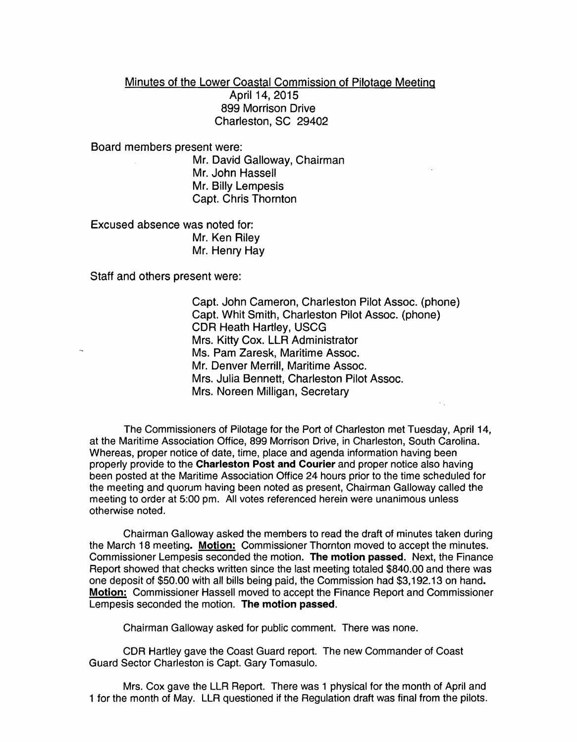## Minutes of the Lower Coastal Commission of Pilotage Meeting April 14, 2015 899 Morrison Drive Charleston, SC 29402

Board members present were:

Mr. David Galloway, Chairman Mr. John Hassell Mr. Billy Lempesis Capt. Chris Thornton

Excused absence was noted for: Mr. Ken Riley Mr. Henry Hay

Staff and others present were:

Capt. John Cameron, Charleston Pilot Assoc. (phone) Capt. Whit Smith, Charleston Pilot Assoc. (phone) CDR Heath Hartley, USCG Mrs. Kitty Cox. LLR Administrator Ms. Pam Zaresk, Maritime Assoc. Mr. Denver Merrill, Maritime Assoc. Mrs. Julia Bennett, Charleston Pilot Assoc. Mrs. Noreen Milligan, Secretary

The Commissioners of Pilotage for the Port of Charleston met Tuesday, April 14, at the Maritime Association Office, 899 Morrison Drive, in Charleston, South Carolina. Whereas, proper notice of date, time, place and agenda information having been properly provide to the Charleston Post and Courier and proper notice also having been posted at the Maritime Association Office 24 hours prior to the time scheduled for the meeting and quorum having been noted as present, Chairman Galloway called the meeting to order at 5:00 pm. All votes referenced herein were unanimous unless otherwise noted.

Chairman Galloway asked the members to read the draft of minutes taken during the March 18 meeting. Motion: Commissioner Thornton moved to accept the minutes. Commissioner Lempesis seconded the motion. The motion passed. Next, the Finance Report showed that checks written since the last meeting totaled \$840.00 and there was one deposit of \$50.00 with all bills being paid, the Commission had \$3,192.13 on hand. Motion: Commissioner Hassell moved to accept the Finance Report and Commissioner Lempesis seconded the motion. The motion passed.

Chairman Galloway asked for public comment. There was none.

CDR Hartley gave the Coast Guard report. The new Commander of Coast Guard Sector Charleston is Capt. Gary Tomasulo.

Mrs. Cox gave the LLR Report. There was 1 physical for the month of April and 1 for the month of May. LLR questioned if the Regulation draft was final from the pilots.